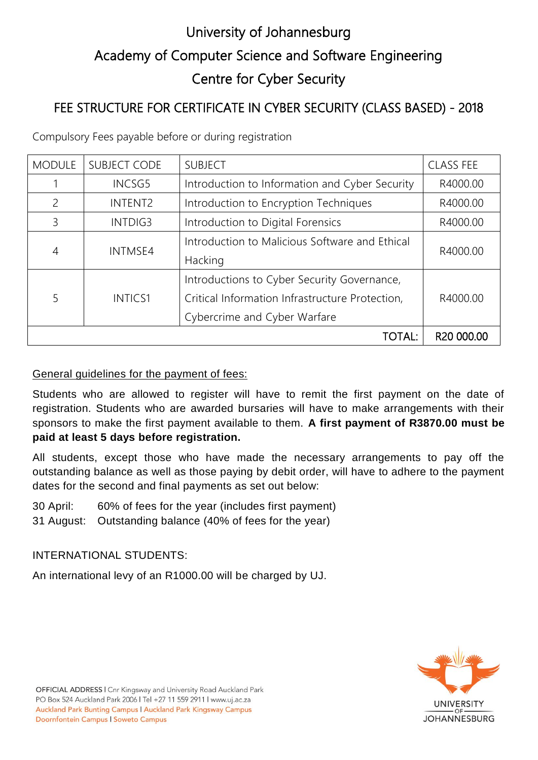# University of Johannesburg Academy of Computer Science and Software Engineering Centre for Cyber Security

## FEE STRUCTURE FOR CERTIFICATE IN CYBER SECURITY (CLASS BASED) - 2018

Compulsory Fees payable before or during registration

| <b>MODULE</b> | <b>SUBJECT CODE</b> | <b>SUBJECT</b>                                  | <b>CLASS FEE</b>       |
|---------------|---------------------|-------------------------------------------------|------------------------|
|               | <b>INCSG5</b>       | Introduction to Information and Cyber Security  | R4000.00               |
| 2             | <b>INTENT2</b>      | Introduction to Encryption Techniques           | R4000.00               |
| 3             | INTDIG3             | Introduction to Digital Forensics               | R4000.00               |
| 4             | <b>INTMSE4</b>      | Introduction to Malicious Software and Ethical  | R4000.00               |
|               |                     | Hacking                                         |                        |
| 5             | <b>INTICS1</b>      | Introductions to Cyber Security Governance,     |                        |
|               |                     | Critical Information Infrastructure Protection, | R4000.00               |
|               |                     | Cybercrime and Cyber Warfare                    |                        |
|               |                     | <b>TOTAL:</b>                                   | R <sub>20</sub> 000.00 |

#### General guidelines for the payment of fees:

Students who are allowed to register will have to remit the first payment on the date of registration. Students who are awarded bursaries will have to make arrangements with their sponsors to make the first payment available to them. **A first payment of R3870.00 must be paid at least 5 days before registration.** 

All students, except those who have made the necessary arrangements to pay off the outstanding balance as well as those paying by debit order, will have to adhere to the payment dates for the second and final payments as set out below:

30 April: 60% of fees for the year (includes first payment)

31 August: Outstanding balance (40% of fees for the year)

### INTERNATIONAL STUDENTS:

An international levy of an R1000.00 will be charged by UJ.